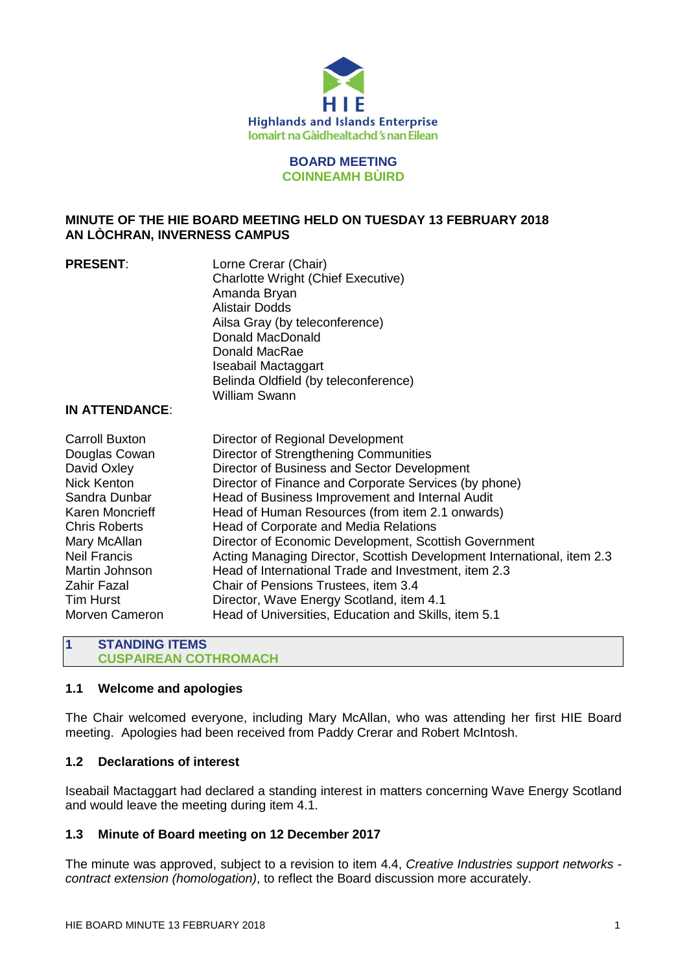

### **BOARD MEETING COINNEAMH BÙIRD**

# **MINUTE OF THE HIE BOARD MEETING HELD ON TUESDAY 13 FEBRUARY 2018 AN LÒCHRAN, INVERNESS CAMPUS**

| <b>PRESENT:</b> | Lorne Crerar (Chair)                      |
|-----------------|-------------------------------------------|
|                 | <b>Charlotte Wright (Chief Executive)</b> |
|                 | Amanda Bryan                              |
|                 | <b>Alistair Dodds</b>                     |
|                 | Ailsa Gray (by teleconference)            |
|                 | Donald MacDonald                          |
|                 | Donald MacRae                             |
|                 | Iseabail Mactaggart                       |
|                 | Belinda Oldfield (by teleconference)      |
|                 | William Swann                             |

# **IN ATTENDANCE**:

| <b>Carroll Buxton</b> | Director of Regional Development                                       |
|-----------------------|------------------------------------------------------------------------|
| Douglas Cowan         | Director of Strengthening Communities                                  |
| David Oxley           | Director of Business and Sector Development                            |
| <b>Nick Kenton</b>    | Director of Finance and Corporate Services (by phone)                  |
| Sandra Dunbar         | Head of Business Improvement and Internal Audit                        |
| Karen Moncrieff       | Head of Human Resources (from item 2.1 onwards)                        |
| <b>Chris Roberts</b>  | Head of Corporate and Media Relations                                  |
| Mary McAllan          | Director of Economic Development, Scottish Government                  |
| <b>Neil Francis</b>   | Acting Managing Director, Scottish Development International, item 2.3 |
| Martin Johnson        | Head of International Trade and Investment, item 2.3                   |
| Zahir Fazal           | Chair of Pensions Trustees, item 3.4                                   |
| <b>Tim Hurst</b>      | Director, Wave Energy Scotland, item 4.1                               |
| Morven Cameron        | Head of Universities, Education and Skills, item 5.1                   |

### **1 STANDING ITEMS CUSPAIREAN COTHROMACH**

### **1.1 Welcome and apologies**

The Chair welcomed everyone, including Mary McAllan, who was attending her first HIE Board meeting. Apologies had been received from Paddy Crerar and Robert McIntosh.

### **1.2 Declarations of interest**

Iseabail Mactaggart had declared a standing interest in matters concerning Wave Energy Scotland and would leave the meeting during item 4.1.

# **1.3 Minute of Board meeting on 12 December 2017**

The minute was approved, subject to a revision to item 4.4, *Creative Industries support networks contract extension (homologation)*, to reflect the Board discussion more accurately.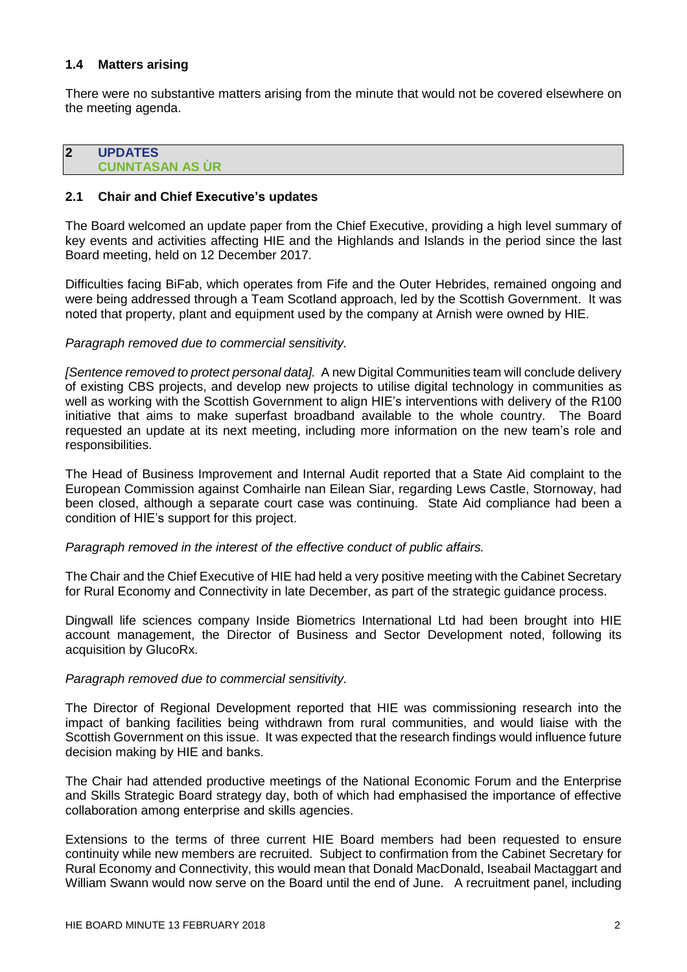# **1.4 Matters arising**

There were no substantive matters arising from the minute that would not be covered elsewhere on the meeting agenda.

#### **2 UPDATES CUNNTASAN AS ÙR**

### **2.1 Chair and Chief Executive's updates**

The Board welcomed an update paper from the Chief Executive, providing a high level summary of key events and activities affecting HIE and the Highlands and Islands in the period since the last Board meeting, held on 12 December 2017.

Difficulties facing BiFab, which operates from Fife and the Outer Hebrides, remained ongoing and were being addressed through a Team Scotland approach, led by the Scottish Government. It was noted that property, plant and equipment used by the company at Arnish were owned by HIE.

### *Paragraph removed due to commercial sensitivity.*

*[Sentence removed to protect personal data].* A new Digital Communities team will conclude delivery of existing CBS projects, and develop new projects to utilise digital technology in communities as well as working with the Scottish Government to align HIE's interventions with delivery of the R100 initiative that aims to make superfast broadband available to the whole country. The Board requested an update at its next meeting, including more information on the new team's role and responsibilities.

The Head of Business Improvement and Internal Audit reported that a State Aid complaint to the European Commission against Comhairle nan Eilean Siar, regarding Lews Castle, Stornoway, had been closed, although a separate court case was continuing. State Aid compliance had been a condition of HIE's support for this project.

### *Paragraph removed in the interest of the effective conduct of public affairs.*

The Chair and the Chief Executive of HIE had held a very positive meeting with the Cabinet Secretary for Rural Economy and Connectivity in late December, as part of the strategic guidance process.

Dingwall life sciences company Inside Biometrics International Ltd had been brought into HIE account management, the Director of Business and Sector Development noted, following its acquisition by GlucoRx.

### *Paragraph removed due to commercial sensitivity.*

The Director of Regional Development reported that HIE was commissioning research into the impact of banking facilities being withdrawn from rural communities, and would liaise with the Scottish Government on this issue. It was expected that the research findings would influence future decision making by HIE and banks.

The Chair had attended productive meetings of the National Economic Forum and the Enterprise and Skills Strategic Board strategy day, both of which had emphasised the importance of effective collaboration among enterprise and skills agencies.

Extensions to the terms of three current HIE Board members had been requested to ensure continuity while new members are recruited. Subject to confirmation from the Cabinet Secretary for Rural Economy and Connectivity, this would mean that Donald MacDonald, Iseabail Mactaggart and William Swann would now serve on the Board until the end of June. A recruitment panel, including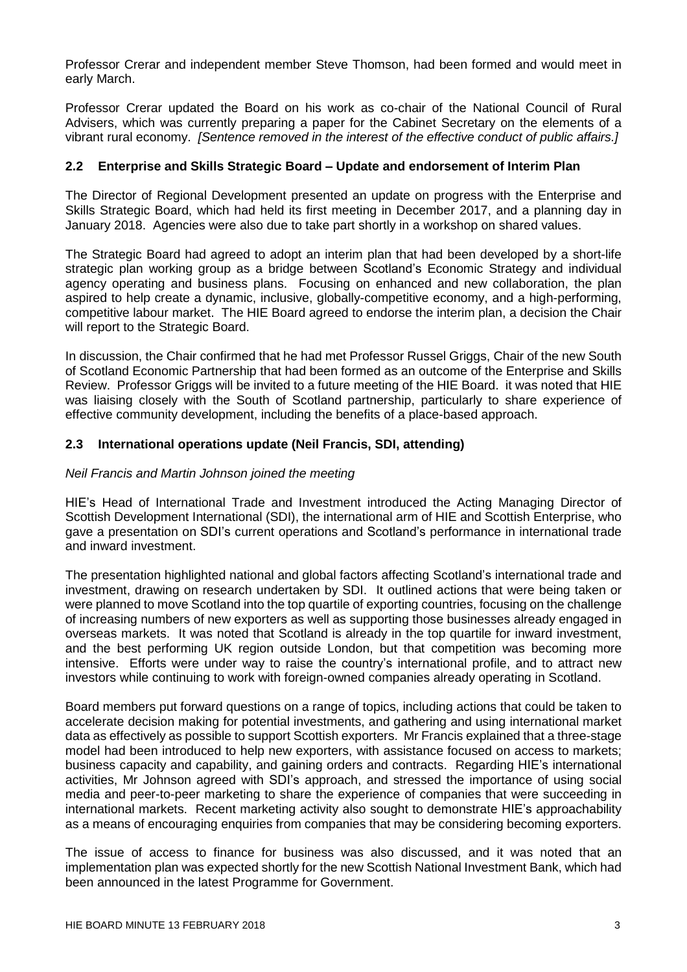Professor Crerar and independent member Steve Thomson, had been formed and would meet in early March.

Professor Crerar updated the Board on his work as co-chair of the National Council of Rural Advisers, which was currently preparing a paper for the Cabinet Secretary on the elements of a vibrant rural economy. *[Sentence removed in the interest of the effective conduct of public affairs.]*

# **2.2 Enterprise and Skills Strategic Board – Update and endorsement of Interim Plan**

The Director of Regional Development presented an update on progress with the Enterprise and Skills Strategic Board, which had held its first meeting in December 2017, and a planning day in January 2018. Agencies were also due to take part shortly in a workshop on shared values.

The Strategic Board had agreed to adopt an interim plan that had been developed by a short-life strategic plan working group as a bridge between Scotland's Economic Strategy and individual agency operating and business plans. Focusing on enhanced and new collaboration, the plan aspired to help create a dynamic, inclusive, globally-competitive economy, and a high-performing, competitive labour market. The HIE Board agreed to endorse the interim plan, a decision the Chair will report to the Strategic Board.

In discussion, the Chair confirmed that he had met Professor Russel Griggs, Chair of the new South of Scotland Economic Partnership that had been formed as an outcome of the Enterprise and Skills Review. Professor Griggs will be invited to a future meeting of the HIE Board. it was noted that HIE was liaising closely with the South of Scotland partnership, particularly to share experience of effective community development, including the benefits of a place-based approach.

# **2.3 International operations update (Neil Francis, SDI, attending)**

# *Neil Francis and Martin Johnson joined the meeting*

HIE's Head of International Trade and Investment introduced the Acting Managing Director of Scottish Development International (SDI), the international arm of HIE and Scottish Enterprise, who gave a presentation on SDI's current operations and Scotland's performance in international trade and inward investment.

The presentation highlighted national and global factors affecting Scotland's international trade and investment, drawing on research undertaken by SDI. It outlined actions that were being taken or were planned to move Scotland into the top quartile of exporting countries, focusing on the challenge of increasing numbers of new exporters as well as supporting those businesses already engaged in overseas markets. It was noted that Scotland is already in the top quartile for inward investment, and the best performing UK region outside London, but that competition was becoming more intensive. Efforts were under way to raise the country's international profile, and to attract new investors while continuing to work with foreign-owned companies already operating in Scotland.

Board members put forward questions on a range of topics, including actions that could be taken to accelerate decision making for potential investments, and gathering and using international market data as effectively as possible to support Scottish exporters. Mr Francis explained that a three-stage model had been introduced to help new exporters, with assistance focused on access to markets; business capacity and capability, and gaining orders and contracts. Regarding HIE's international activities, Mr Johnson agreed with SDI's approach, and stressed the importance of using social media and peer-to-peer marketing to share the experience of companies that were succeeding in international markets. Recent marketing activity also sought to demonstrate HIE's approachability as a means of encouraging enquiries from companies that may be considering becoming exporters.

The issue of access to finance for business was also discussed, and it was noted that an implementation plan was expected shortly for the new Scottish National Investment Bank, which had been announced in the latest Programme for Government.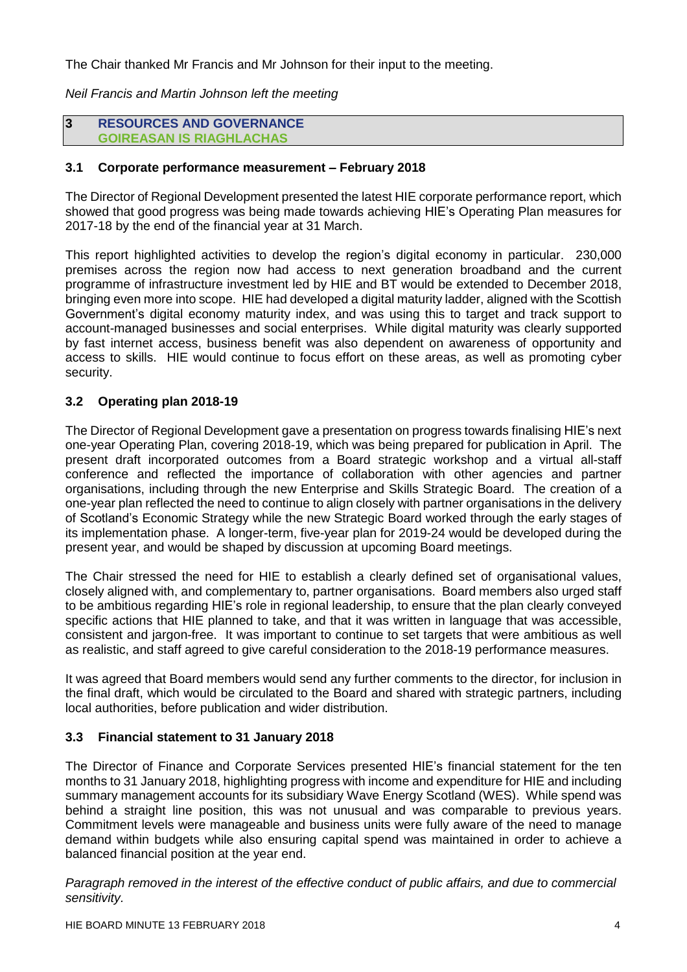The Chair thanked Mr Francis and Mr Johnson for their input to the meeting.

*Neil Francis and Martin Johnson left the meeting*

**3 RESOURCES AND GOVERNANCE GOIREASAN IS RIAGHLACHAS**

# **3.1 Corporate performance measurement – February 2018**

The Director of Regional Development presented the latest HIE corporate performance report, which showed that good progress was being made towards achieving HIE's Operating Plan measures for 2017-18 by the end of the financial year at 31 March.

This report highlighted activities to develop the region's digital economy in particular. 230,000 premises across the region now had access to next generation broadband and the current programme of infrastructure investment led by HIE and BT would be extended to December 2018, bringing even more into scope. HIE had developed a digital maturity ladder, aligned with the Scottish Government's digital economy maturity index, and was using this to target and track support to account-managed businesses and social enterprises. While digital maturity was clearly supported by fast internet access, business benefit was also dependent on awareness of opportunity and access to skills. HIE would continue to focus effort on these areas, as well as promoting cyber security.

# **3.2 Operating plan 2018-19**

The Director of Regional Development gave a presentation on progress towards finalising HIE's next one-year Operating Plan, covering 2018-19, which was being prepared for publication in April. The present draft incorporated outcomes from a Board strategic workshop and a virtual all-staff conference and reflected the importance of collaboration with other agencies and partner organisations, including through the new Enterprise and Skills Strategic Board. The creation of a one-year plan reflected the need to continue to align closely with partner organisations in the delivery of Scotland's Economic Strategy while the new Strategic Board worked through the early stages of its implementation phase. A longer-term, five-year plan for 2019-24 would be developed during the present year, and would be shaped by discussion at upcoming Board meetings.

The Chair stressed the need for HIE to establish a clearly defined set of organisational values, closely aligned with, and complementary to, partner organisations. Board members also urged staff to be ambitious regarding HIE's role in regional leadership, to ensure that the plan clearly conveyed specific actions that HIE planned to take, and that it was written in language that was accessible, consistent and jargon-free. It was important to continue to set targets that were ambitious as well as realistic, and staff agreed to give careful consideration to the 2018-19 performance measures.

It was agreed that Board members would send any further comments to the director, for inclusion in the final draft, which would be circulated to the Board and shared with strategic partners, including local authorities, before publication and wider distribution.

# **3.3 Financial statement to 31 January 2018**

The Director of Finance and Corporate Services presented HIE's financial statement for the ten months to 31 January 2018, highlighting progress with income and expenditure for HIE and including summary management accounts for its subsidiary Wave Energy Scotland (WES). While spend was behind a straight line position, this was not unusual and was comparable to previous years. Commitment levels were manageable and business units were fully aware of the need to manage demand within budgets while also ensuring capital spend was maintained in order to achieve a balanced financial position at the year end.

*Paragraph removed in the interest of the effective conduct of public affairs, and due to commercial sensitivity.*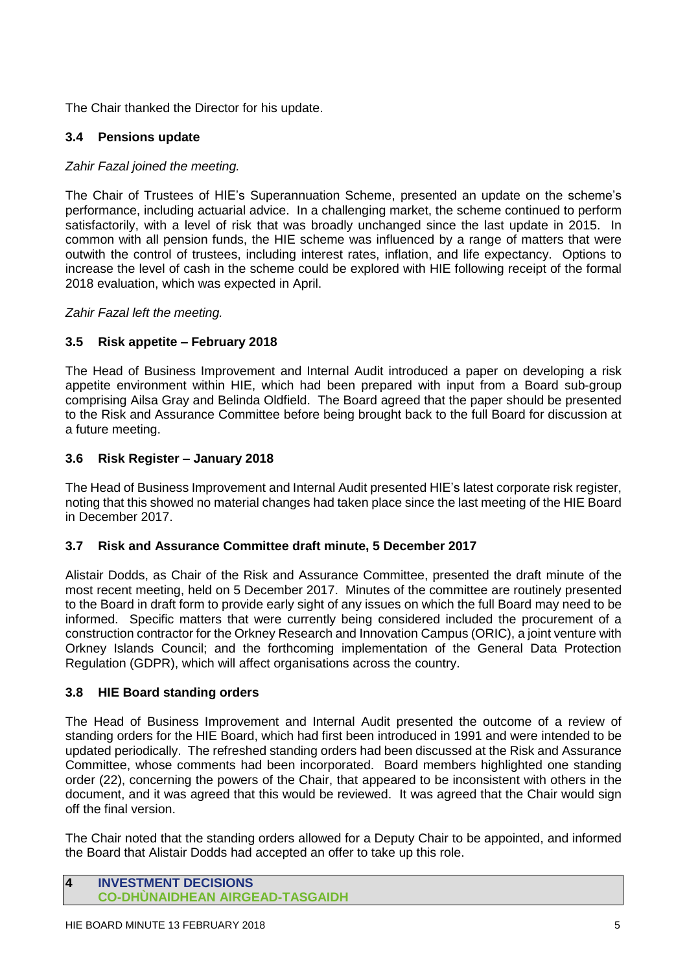The Chair thanked the Director for his update.

# **3.4 Pensions update**

# *Zahir Fazal joined the meeting.*

The Chair of Trustees of HIE's Superannuation Scheme, presented an update on the scheme's performance, including actuarial advice. In a challenging market, the scheme continued to perform satisfactorily, with a level of risk that was broadly unchanged since the last update in 2015. In common with all pension funds, the HIE scheme was influenced by a range of matters that were outwith the control of trustees, including interest rates, inflation, and life expectancy. Options to increase the level of cash in the scheme could be explored with HIE following receipt of the formal 2018 evaluation, which was expected in April.

*Zahir Fazal left the meeting.*

# **3.5 Risk appetite – February 2018**

The Head of Business Improvement and Internal Audit introduced a paper on developing a risk appetite environment within HIE, which had been prepared with input from a Board sub-group comprising Ailsa Gray and Belinda Oldfield. The Board agreed that the paper should be presented to the Risk and Assurance Committee before being brought back to the full Board for discussion at a future meeting.

# **3.6 Risk Register – January 2018**

The Head of Business Improvement and Internal Audit presented HIE's latest corporate risk register, noting that this showed no material changes had taken place since the last meeting of the HIE Board in December 2017.

# **3.7 Risk and Assurance Committee draft minute, 5 December 2017**

Alistair Dodds, as Chair of the Risk and Assurance Committee, presented the draft minute of the most recent meeting, held on 5 December 2017. Minutes of the committee are routinely presented to the Board in draft form to provide early sight of any issues on which the full Board may need to be informed. Specific matters that were currently being considered included the procurement of a construction contractor for the Orkney Research and Innovation Campus (ORIC), a joint venture with Orkney Islands Council; and the forthcoming implementation of the General Data Protection Regulation (GDPR), which will affect organisations across the country.

# **3.8 HIE Board standing orders**

The Head of Business Improvement and Internal Audit presented the outcome of a review of standing orders for the HIE Board, which had first been introduced in 1991 and were intended to be updated periodically. The refreshed standing orders had been discussed at the Risk and Assurance Committee, whose comments had been incorporated. Board members highlighted one standing order (22), concerning the powers of the Chair, that appeared to be inconsistent with others in the document, and it was agreed that this would be reviewed. It was agreed that the Chair would sign off the final version.

The Chair noted that the standing orders allowed for a Deputy Chair to be appointed, and informed the Board that Alistair Dodds had accepted an offer to take up this role.

### **4 INVESTMENT DECISIONS CO-DHÙNAIDHEAN AIRGEAD-TASGAIDH**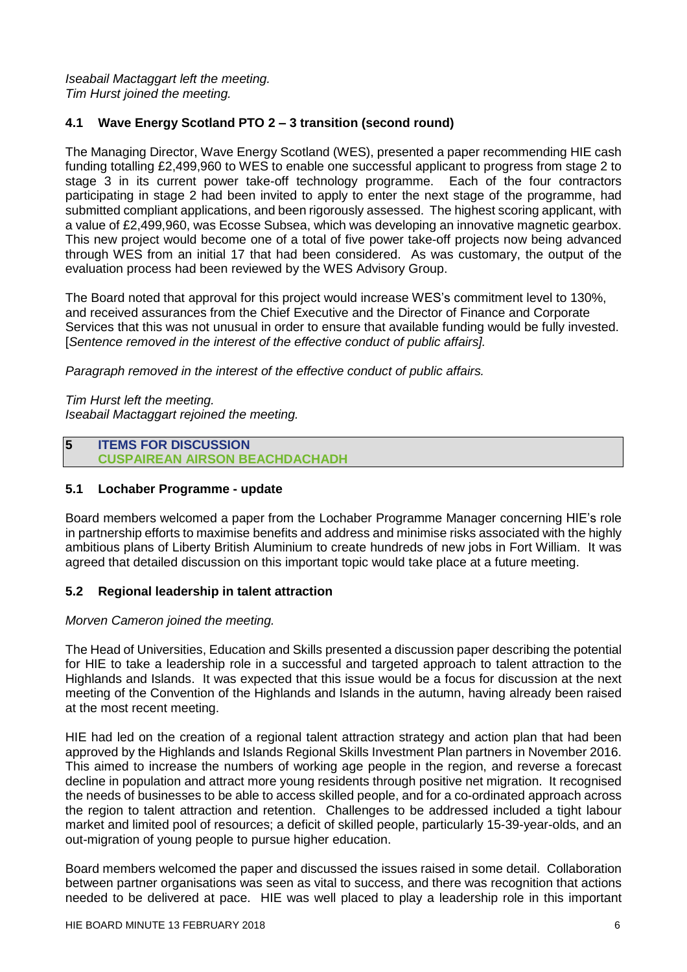# **4.1 Wave Energy Scotland PTO 2 – 3 transition (second round)**

The Managing Director, Wave Energy Scotland (WES), presented a paper recommending HIE cash funding totalling £2,499,960 to WES to enable one successful applicant to progress from stage 2 to stage 3 in its current power take-off technology programme. Each of the four contractors participating in stage 2 had been invited to apply to enter the next stage of the programme, had submitted compliant applications, and been rigorously assessed. The highest scoring applicant, with a value of £2,499,960, was Ecosse Subsea, which was developing an innovative magnetic gearbox. This new project would become one of a total of five power take-off projects now being advanced through WES from an initial 17 that had been considered. As was customary, the output of the evaluation process had been reviewed by the WES Advisory Group.

The Board noted that approval for this project would increase WES's commitment level to 130%, and received assurances from the Chief Executive and the Director of Finance and Corporate Services that this was not unusual in order to ensure that available funding would be fully invested. [*Sentence removed in the interest of the effective conduct of public affairs].*

*Paragraph removed in the interest of the effective conduct of public affairs.*

*Tim Hurst left the meeting. Iseabail Mactaggart rejoined the meeting.*

**5 ITEMS FOR DISCUSSION CUSPAIREAN AIRSON BEACHDACHADH**

# **5.1 Lochaber Programme - update**

Board members welcomed a paper from the Lochaber Programme Manager concerning HIE's role in partnership efforts to maximise benefits and address and minimise risks associated with the highly ambitious plans of Liberty British Aluminium to create hundreds of new jobs in Fort William. It was agreed that detailed discussion on this important topic would take place at a future meeting.

# **5.2 Regional leadership in talent attraction**

# *Morven Cameron joined the meeting.*

The Head of Universities, Education and Skills presented a discussion paper describing the potential for HIE to take a leadership role in a successful and targeted approach to talent attraction to the Highlands and Islands. It was expected that this issue would be a focus for discussion at the next meeting of the Convention of the Highlands and Islands in the autumn, having already been raised at the most recent meeting.

HIE had led on the creation of a regional talent attraction strategy and action plan that had been approved by the Highlands and Islands Regional Skills Investment Plan partners in November 2016. This aimed to increase the numbers of working age people in the region, and reverse a forecast decline in population and attract more young residents through positive net migration. It recognised the needs of businesses to be able to access skilled people, and for a co-ordinated approach across the region to talent attraction and retention. Challenges to be addressed included a tight labour market and limited pool of resources; a deficit of skilled people, particularly 15-39-year-olds, and an out-migration of young people to pursue higher education.

Board members welcomed the paper and discussed the issues raised in some detail. Collaboration between partner organisations was seen as vital to success, and there was recognition that actions needed to be delivered at pace. HIE was well placed to play a leadership role in this important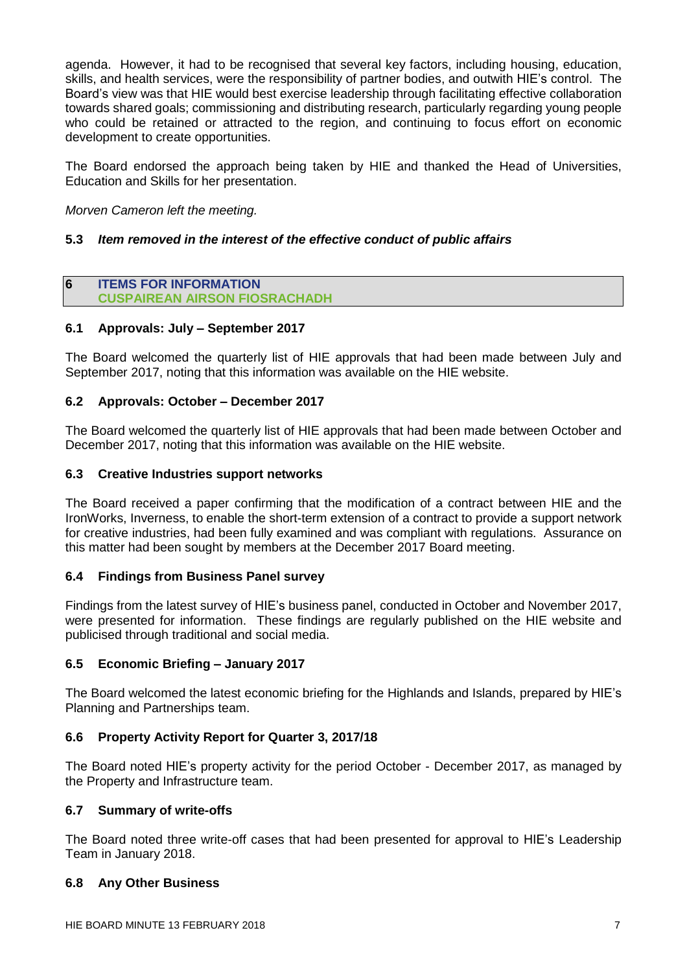agenda. However, it had to be recognised that several key factors, including housing, education, skills, and health services, were the responsibility of partner bodies, and outwith HIE's control. The Board's view was that HIE would best exercise leadership through facilitating effective collaboration towards shared goals; commissioning and distributing research, particularly regarding young people who could be retained or attracted to the region, and continuing to focus effort on economic development to create opportunities.

The Board endorsed the approach being taken by HIE and thanked the Head of Universities, Education and Skills for her presentation.

*Morven Cameron left the meeting.*

# **5.3** *Item removed in the interest of the effective conduct of public affairs*

### **6 ITEMS FOR INFORMATION CUSPAIREAN AIRSON FIOSRACHADH**

### **6.1 Approvals: July – September 2017**

The Board welcomed the quarterly list of HIE approvals that had been made between July and September 2017, noting that this information was available on the HIE website.

# **6.2 Approvals: October – December 2017**

The Board welcomed the quarterly list of HIE approvals that had been made between October and December 2017, noting that this information was available on the HIE website.

### **6.3 Creative Industries support networks**

The Board received a paper confirming that the modification of a contract between HIE and the IronWorks, Inverness, to enable the short-term extension of a contract to provide a support network for creative industries, had been fully examined and was compliant with regulations. Assurance on this matter had been sought by members at the December 2017 Board meeting.

### **6.4 Findings from Business Panel survey**

Findings from the latest survey of HIE's business panel, conducted in October and November 2017, were presented for information. These findings are regularly published on the HIE website and publicised through traditional and social media.

# **6.5 Economic Briefing – January 2017**

The Board welcomed the latest economic briefing for the Highlands and Islands, prepared by HIE's Planning and Partnerships team.

# **6.6 Property Activity Report for Quarter 3, 2017/18**

The Board noted HIE's property activity for the period October - December 2017, as managed by the Property and Infrastructure team.

### **6.7 Summary of write-offs**

The Board noted three write-off cases that had been presented for approval to HIE's Leadership Team in January 2018.

# **6.8 Any Other Business**